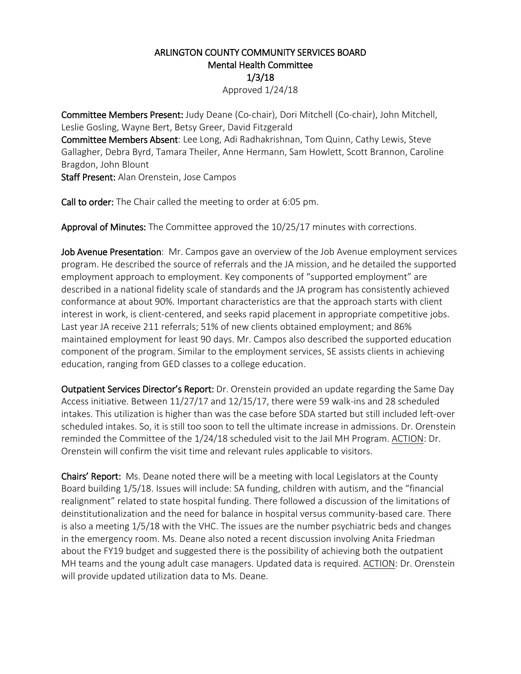## ARLINGTON COUNTY COMMUNITY SERVICES BOARD Mental Health Committee 1/3/18 Approved 1/24/18

Committee Members Present: Judy Deane (Co-chair), Dori Mitchell (Co-chair), John Mitchell, Leslie Gosling, Wayne Bert, Betsy Greer, David Fitzgerald

Committee Members Absent: Lee Long, Adi Radhakrishnan, Tom Quinn, Cathy Lewis, Steve Gallagher, Debra Byrd, Tamara Theiler, Anne Hermann, Sam Howlett, Scott Brannon, Caroline Bragdon, John Blount

Staff Present: Alan Orenstein, Jose Campos

Call to order: The Chair called the meeting to order at 6:05 pm.

Approval of Minutes: The Committee approved the 10/25/17 minutes with corrections.

Job Avenue Presentation: Mr. Campos gave an overview of the Job Avenue employment services program. He described the source of referrals and the JA mission, and he detailed the supported employment approach to employment. Key components of "supported employment" are described in a national fidelity scale of standards and the JA program has consistently achieved conformance at about 90%. Important characteristics are that the approach starts with client interest in work, is client-centered, and seeks rapid placement in appropriate competitive jobs. Last year JA receive 211 referrals; 51% of new clients obtained employment; and 86% maintained employment for least 90 days. Mr. Campos also described the supported education component of the program. Similar to the employment services, SE assists clients in achieving education, ranging from GED classes to a college education.

Outpatient Services Director's Report: Dr. Orenstein provided an update regarding the Same Day Access initiative. Between 11/27/17 and 12/15/17, there were 59 walk-ins and 28 scheduled intakes. This utilization is higher than was the case before SDA started but still included left-over scheduled intakes. So, it is still too soon to tell the ultimate increase in admissions. Dr. Orenstein reminded the Committee of the  $1/24/18$  scheduled visit to the Jail MH Program. ACTION: Dr. Orenstein will confirm the visit time and relevant rules applicable to visitors.

Chairs' Report: Ms. Deane noted there will be a meeting with local Legislators at the County Board building 1/5/18. Issues will include: SA funding, children with autism, and the "financial realignment" related to state hospital funding. There followed a discussion of the limitations of deinstitutionalization and the need for balance in hospital versus community-based care. There is also a meeting 1/5/18 with the VHC. The issues are the number psychiatric beds and changes in the emergency room. Ms. Deane also noted a recent discussion involving Anita Friedman about the FY19 budget and suggested there is the possibility of achieving both the outpatient MH teams and the young adult case managers. Updated data is required. ACTION: Dr. Orenstein will provide updated utilization data to Ms. Deane.